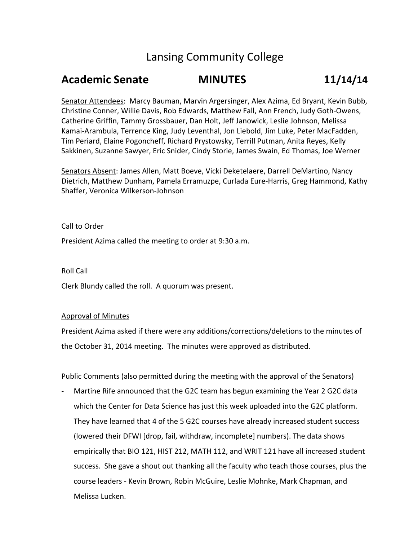# Lansing Community College

## **Academic Senate MINUTES 11/14/14**

Senator Attendees: Marcy Bauman, Marvin Argersinger, Alex Azima, Ed Bryant, Kevin Bubb, Christine Conner, Willie Davis, Rob Edwards, Matthew Fall, Ann French, Judy Goth-Owens, Catherine Griffin, Tammy Grossbauer, Dan Holt, Jeff Janowick, Leslie Johnson, Melissa Kamai-Arambula, Terrence King, Judy Leventhal, Jon Liebold, Jim Luke, Peter MacFadden, Tim Periard, Elaine Pogoncheff, Richard Prystowsky, Terrill Putman, Anita Reyes, Kelly Sakkinen, Suzanne Sawyer, Eric Snider, Cindy Storie, James Swain, Ed Thomas, Joe Werner

Senators Absent: James Allen, Matt Boeve, Vicki Deketelaere, Darrell DeMartino, Nancy Dietrich, Matthew Dunham, Pamela Erramuzpe, Curlada Eure-Harris, Greg Hammond, Kathy Shaffer, Veronica Wilkerson-Johnson

### Call to Order

President Azima called the meeting to order at 9:30 a.m.

## Roll Call

Clerk Blundy called the roll. A quorum was present.

#### Approval of Minutes

President Azima asked if there were any additions/corrections/deletions to the minutes of the October 31, 2014 meeting. The minutes were approved as distributed.

Public Comments (also permitted during the meeting with the approval of the Senators)

Martine Rife announced that the G2C team has begun examining the Year 2 G2C data which the Center for Data Science has just this week uploaded into the G2C platform. They have learned that 4 of the 5 G2C courses have already increased student success (lowered their DFWI [drop, fail, withdraw, incomplete] numbers). The data shows empirically that BIO 121, HIST 212, MATH 112, and WRIT 121 have all increased student success. She gave a shout out thanking all the faculty who teach those courses, plus the course leaders - Kevin Brown, Robin McGuire, Leslie Mohnke, Mark Chapman, and Melissa Lucken.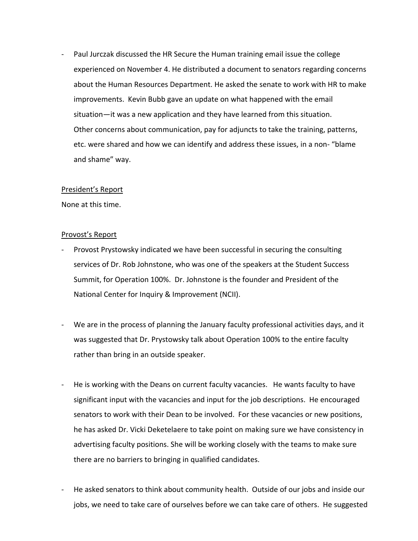- Paul Jurczak discussed the HR Secure the Human training email issue the college experienced on November 4. He distributed a document to senators regarding concerns about the Human Resources Department. He asked the senate to work with HR to make improvements. Kevin Bubb gave an update on what happened with the email situation—it was a new application and they have learned from this situation. Other concerns about communication, pay for adjuncts to take the training, patterns, etc. were shared and how we can identify and address these issues, in a non- "blame and shame" way.

#### President's Report

None at this time.

#### Provost's Report

- Provost Prystowsky indicated we have been successful in securing the consulting services of Dr. Rob Johnstone, who was one of the speakers at the Student Success Summit, for Operation 100%. Dr. Johnstone is the founder and President of the National Center for Inquiry & Improvement (NCII).
- We are in the process of planning the January faculty professional activities days, and it was suggested that Dr. Prystowsky talk about Operation 100% to the entire faculty rather than bring in an outside speaker.
- He is working with the Deans on current faculty vacancies. He wants faculty to have significant input with the vacancies and input for the job descriptions. He encouraged senators to work with their Dean to be involved. For these vacancies or new positions, he has asked Dr. Vicki Deketelaere to take point on making sure we have consistency in advertising faculty positions. She will be working closely with the teams to make sure there are no barriers to bringing in qualified candidates.
- He asked senators to think about community health. Outside of our jobs and inside our jobs, we need to take care of ourselves before we can take care of others. He suggested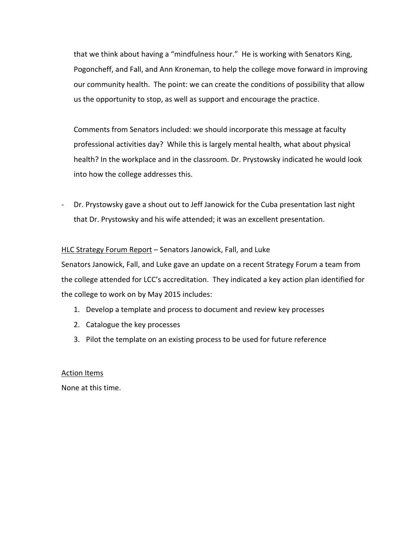that we think about having a "mindfulness hour." He is working with Senators King, Pogoncheff, and Fall, and Ann Kroneman, to help the college move forward in improving our community health. The point: we can create the conditions of possibility that allow us the opportunity to stop, as well as support and encourage the practice.

Comments from Senators included: we should incorporate this message at faculty professional activities day? While this is largely mental health, what about physical health? In the workplace and in the classroom. Dr. Prystowsky indicated he would look into how the college addresses this.

- Dr. Prystowsky gave a shout out to Jeff Janowick for the Cuba presentation last night that Dr. Prystowsky and his wife attended; it was an excellent presentation.

## HLC Strategy Forum Report - Senators Janowick, Fall, and Luke

Senators Janowick, Fall, and Luke gave an update on a recent Strategy Forum a team from the college attended for LCC's accreditation. They indicated a key action plan identified for the college to work on by May 2015 includes:

- 1. Develop a template and process to document and review key processes
- 2. Catalogue the key processes
- 3. Pilot the template on an existing process to be used for future reference

## Action Items

None at this time.